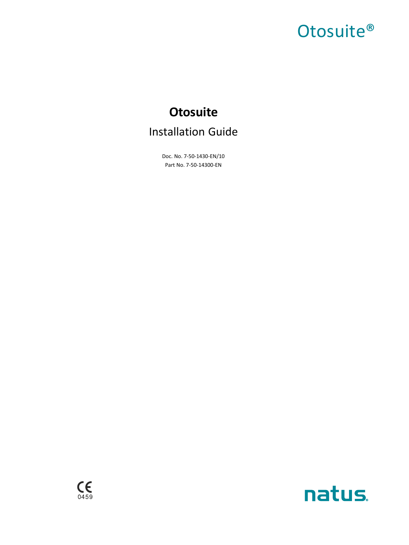# Otosuite<sup>®</sup>

# **Otosuite** Installation Guide

Doc. No. 7-50-1430-EN/10 Part No. 7-50-14300-EN



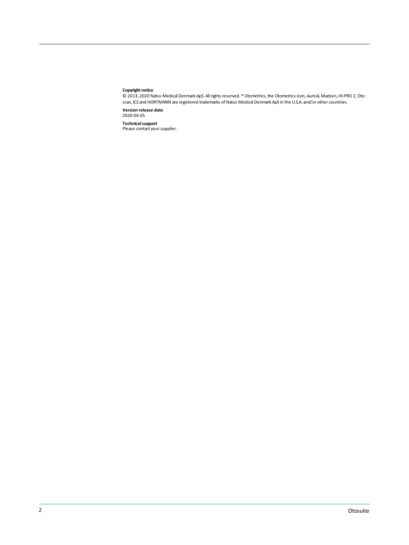#### **Copyright notice**

© 2013, 2020 Natus Medical Denmark ApS. Allrights reserved. ® Otometrics,the Otometrics Icon, Aurical, Madsen,HI-PRO 2,Otoscan, ICS and HORTMANN are registered trademarks of Natus Medical Denmark ApS in the U.S.A. and/or other countries.

**Version release date** 2020-04-05

**Technical support**<br>Please contact your supplier.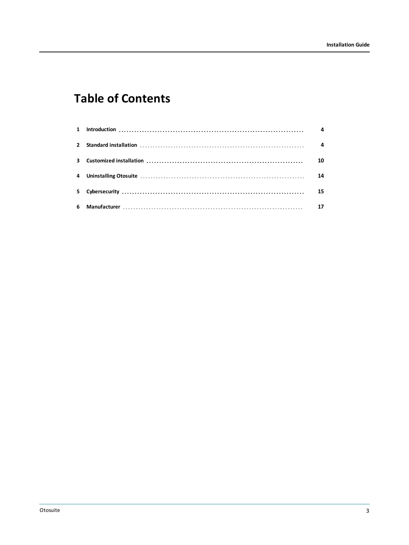## **Table of Contents**

|  | 10 |
|--|----|
|  | 14 |
|  | 15 |
|  |    |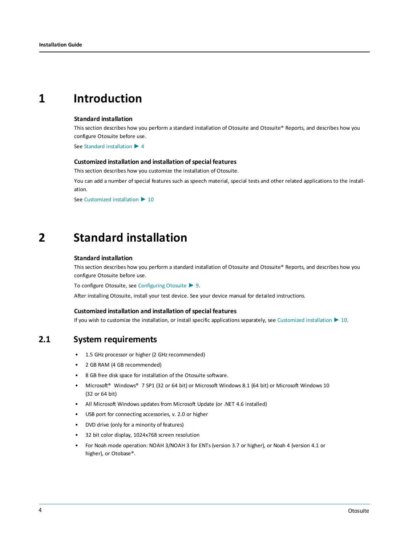## <span id="page-3-0"></span>**1 Introduction**

#### **Standard installation**

This section describes how you perform a standard installation of Otosuite and Otosuite® Reports, and describes how you configure Otosuite before use.

See Standard [installation](#page-3-1) ► 4

#### **Customized installation and installation ofspecial features**

This section describes how you customize the installation of Otosuite.

You can add a number of special features such as speech material, special tests and other related applications to the installation.

<span id="page-3-1"></span>See [Customized](#page-9-0) installation ▶ 10

## **2 Standard installation**

#### **Standard installation**

This section describes how you perform a standard installation of Otosuite and Otosuite® Reports, and describes how you configure Otosuite before use.

To configure Otosuite, see [Configuring](#page-8-0) Otosuite ► 9.

After installing Otosuite, install your test device. See your device manual for detailed instructions.

#### **Customized installation and installation ofspecial features**

If you wish to customize the installation, or install specific applications separately, see [Customized](#page-9-0) installation ► 10.

### **2.1 System requirements**

- 1.5 GHz processor or higher (2 GHz recommended)
- 2 GB RAM (4 GB recommended)
- 8 GB free disk space for installation of the Otosuite software.
- Microsoft® Windows® 7 SP1 (32 or 64 bit) or Microsoft Windows 8.1 (64 bit) or Microsoft Windows 10 (32 or 64 bit)
- All Microsoft Windows updates from Microsoft Update (or .NET 4.6 installed)
- USB port for connecting accessories, v. 2.0 or higher
- DVD drive (only for a minority of features)
- 32 bit color display, 1024x768 screen resolution
- For Noah mode operation: NOAH 3/NOAH 3 for ENTs (version 3.7 or higher), or Noah 4 (version 4.1 or higher), or Otobase®.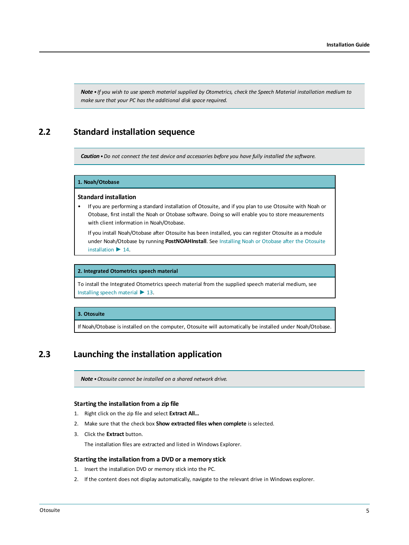Note . If you wish to use speech material supplied by Otometrics, check the Speech Material installation medium to *make sure that your PC has the additional disk space required.*

### **2.2 Standard installation sequence**

*Caution•Do not connect the test device and accessories before you have fully installed the software.*

#### **1. Noah/Otobase**

#### **Standard installation**

• If you are performing a standard installation of Otosuite, and if you plan to use Otosuite with Noah or Otobase, first install the Noah or Otobase software. Doing so will enable you to store measurements with client information in Noah/Otobase.

If you install Noah/Otobase after Otosuite has been installed, you can register Otosuite as a module under Noah/Otobase by running **PostNOAHInstall**. See [Installing](#page-13-1) Noah or Otobase after the Otosuite [installation](#page-13-1) ► 14.

#### **2. Integrated Otometrics speech material**

To install the Integrated Otometrics speech material from the supplied speech material medium, see [Installing](#page-12-0) speech material ► 13.

#### **3. Otosuite**

<span id="page-4-0"></span>If Noah/Otobase is installed on the computer, Otosuite will automatically be installed under Noah/Otobase.

## **2.3 Launching the installation application**

*Note •Otosuite cannot be installed on a shared network drive.*

#### **Starting the installation from a zip file**

- 1. Right click on the zip file and select **Extract All…**
- 2. Make sure that the check box **Show extracted files when complete** is selected.
- 3. Click the **Extract** button.

The installation files are extracted and listed in Windows Explorer.

#### **Starting the installation from a DVD or a memory stick**

- 1. Insert the installation DVD or memory stick into the PC.
- 2. If the content does not display automatically, navigate to the relevant drive in Windows explorer.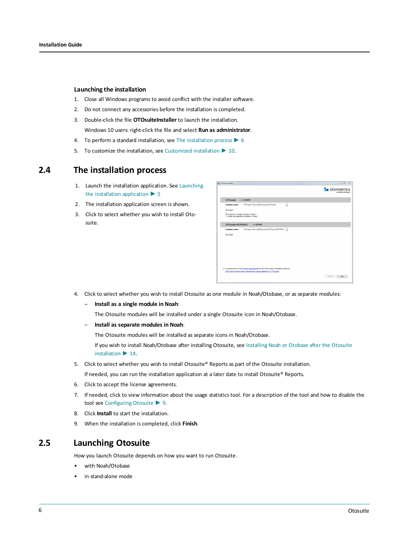#### **Launching the installation**

- 1. Close all Windows programs to avoid conflict with the installer software.
- 2. Do not connect any accessories before the installation is completed.
- 3. Double-click the file **OTOsuiteInstaller** to launch the installation. Windows 10 users: right-click the file and select **Run as administrator**.
- 4. To perform a standard installation, see The [installation](#page-5-0) process ► 6
- <span id="page-5-0"></span>5. To customize the installation, see [Customized](#page-9-0) installation ► 10.

### **2.4 The installation process**

- 1. Launch the installation application. See [Launching](#page-4-0) the installation [application](#page-4-0) ► 5
- 2. The installation application screen is shown.
- 3. Click to select whether you wish to install Otosuite.

| <b>3</b> OTOsuite Installer                                                              | $= 0$                                        |
|------------------------------------------------------------------------------------------|----------------------------------------------|
|                                                                                          | <b>So</b> otometrics<br>a division of natus. |
| <b>OTOsuite</b><br>v.4.83.0040                                                           |                                              |
| C:/Program Files (x35)/Otometrics/OTOsuitel.<br>H<br>Installation folder                 |                                              |
| V Install                                                                                |                                              |
| <sup>®</sup> Install as a single module in Noah<br>◎ Install as separate modules in Noah |                                              |
| <b>OTOsuite REPORTS</b><br>v. 1.05.0161                                                  |                                              |
| C!Program Files (x85)/Otometrics/OTOsuite REPORTS\<br>Installation folder<br>$\sim$      |                                              |
| <b>7</b> Install                                                                         |                                              |
|                                                                                          |                                              |
|                                                                                          |                                              |
|                                                                                          |                                              |
|                                                                                          |                                              |
|                                                                                          |                                              |
|                                                                                          |                                              |
| I accept terms in the license agreements for all of the above selected products          |                                              |
| Click here to read about anonymous usage statistics in OTOsuite                          |                                              |
|                                                                                          | Ext.<br>Install                              |
|                                                                                          |                                              |

- 4. Click to select whether you wish to install Otosuite as one module in Noah/Otobase, or as separate modules:
	- **Install as a single module in Noah**:

The Otosuite modules will be installed under a single Otosuite icon in Noah/Otobase.

– **Install as separate modules in Noah**:

The Otosuite modules will be installed as separate icons in Noah/Otobase.

If you wish to install Noah/Otobase after installing Otosuite, see [Installing](#page-13-1) Noah or Otobase after the Otosuite [installation](#page-13-1) ► 14.

5. Click to select whether you wish to install Otosuite® Reports as part of the Otosuite installation.

If needed, you can run the installation application at a later date to install Otosuite® Reports.

- 6. Click to accept the license agreements.
- 7. If needed, click to view information about the usage statistics tool. For a description of the tool and how to disable the tool see [Configuring](#page-8-0) Otosuite ► 9.
- 8. Click **Install** to start the installation.
- 9. When the installation is completed, click **Finish**.

### **2.5 Launching Otosuite**

How you launch Otosuite depends on how you want to run Otosuite.

- with Noah/Otobase
- in stand-alone mode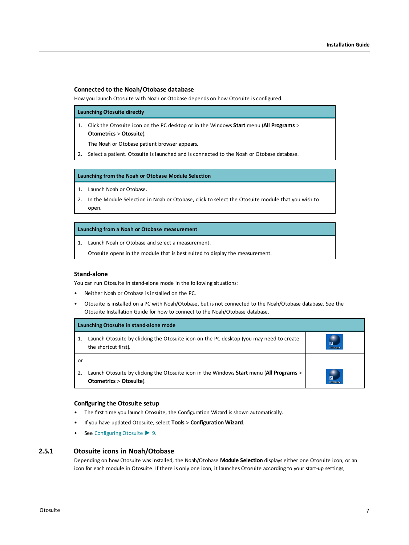#### **Connected to the Noah/Otobase database**

How you launch Otosuite with Noah or Otobase depends on how Otosuite is configured.

**Launching Otosuite directly**

1. Click the Otosuite icon on the PC desktop or in the Windows **Start** menu (**All Programs** > **Otometrics** > **Otosuite**).

The Noah or Otobase patient browser appears.

2. Select a patient. Otosuite is launched and is connected to the Noah or Otobase database.

#### **Launching from the Noah or Otobase Module Selection**

1. Launch Noah or Otobase.

2. In the Module Selection in Noah or Otobase, click to select the Otosuite module that you wish to open.

#### **Launching from a Noah or Otobase measurement**

1. Launch Noah or Otobase and select a measurement.

Otosuite opens in the module that is best suited to display the measurement.

#### **Stand-alone**

You can run Otosuite in stand-alone mode in the following situations:

- Neither Noah or Otobase is installed on the PC.
- Otosuite is installed on a PC with Noah/Otobase, but is not connected to the Noah/Otobase database. See the Otosuite Installation Guide for how to connect to the Noah/Otobase database.

|    | Launching Otosuite in stand-alone mode                                                                             |                                   |
|----|--------------------------------------------------------------------------------------------------------------------|-----------------------------------|
|    | Launch Otosuite by clicking the Otosuite icon on the PC desktop (you may need to create<br>the shortcut first).    | $\overline{a}$<br><b>OTOsuite</b> |
| or |                                                                                                                    |                                   |
|    | Launch Otosuite by clicking the Otosuite icon in the Windows Start menu (All Programs ><br>Otometrics > Otosuite). | $\overline{a}$<br><b>OTOsuite</b> |

#### **Configuring the Otosuite setup**

- The first time you launch Otosuite, the Configuration Wizard is shown automatically.
- If you have updated Otosuite, select **Tools** > **Configuration Wizard**.
- See [Configuring](#page-8-0) Otosuite ► 9.

#### **2.5.1 Otosuite icons in Noah/Otobase**

Depending on how Otosuite was installed, the Noah/Otobase **Module Selection** displays either one Otosuite icon, or an icon for each module in Otosuite. If there is only one icon, it launches Otosuite according to your start-up settings,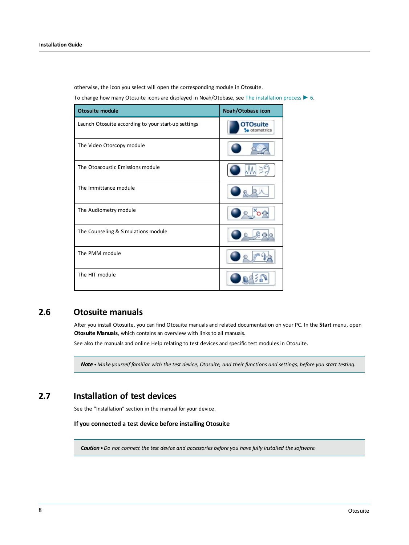otherwise, the icon you select will open the corresponding module in Otosuite.

To change how many Otosuite icons are displayed in Noah/Otobase, see The [installation](#page-5-0) process ► 6.

| <b>Otosuite module</b>                              | Noah/Otobase icon               |
|-----------------------------------------------------|---------------------------------|
| Launch Otosuite according to your start-up settings | <b>OTOsuite</b><br>· otometrics |
| The Video Otoscopy module                           |                                 |
| The Otoacoustic Emissions module                    |                                 |
| The Immittance module                               |                                 |
| The Audiometry module                               |                                 |
| The Counseling & Simulations module                 |                                 |
| The PMM module                                      |                                 |
| The HIT module                                      |                                 |

## **2.6 Otosuite manuals**

After you install Otosuite, you can find Otosuite manuals and related documentation on your PC. In the **Start** menu, open **Otosuite Manuals**, which contains an overview with links to all manuals.

See also the manuals and online Help relating to test devices and specific test modules in Otosuite.

Note . Make yourself familiar with the test device, Otosuite, and their functions and settings, before you start testing.

## **2.7 Installation of test devices**

See the "Installation" section in the manual for your device.

#### **If you connected a test device before installing Otosuite**

*Caution•Do not connect the test device and accessories before you have fully installed the software.*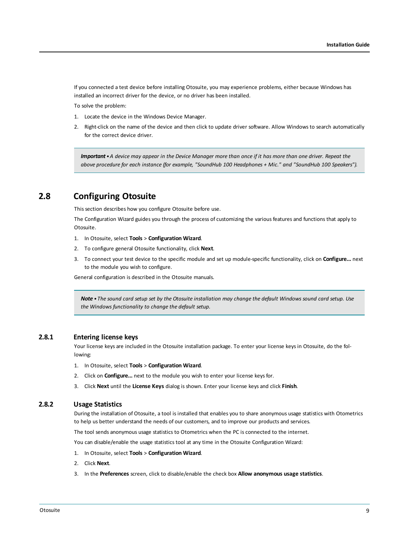If you connected a test device before installing Otosuite, you may experience problems, either because Windows has installed an incorrect driver for the device, or no driver has been installed.

To solve the problem:

- 1. Locate the device in the Windows Device Manager.
- 2. Right-click on the name of the device and then click to update driver software. Allow Windows to search automatically for the correct device driver.

<span id="page-8-0"></span>**Important** • A device may appear in the Device Manager more than once if it has more than one driver. Repeat the *above procedure for each instance (for example, "SoundHub 100 Headphones + Mic." and "SoundHub 100 Speakers").*

## **2.8 Configuring Otosuite**

This section describes how you configure Otosuite before use.

The Configuration Wizard guides you through the process of customizing the various features and functions that apply to Otosuite.

- 1. In Otosuite, select **Tools** > **Configuration Wizard**.
- 2. To configure general Otosuite functionality, click **Next**.
- 3. To connect your test device to the specific module and set up module-specific functionality, click on **Configure...** next to the module you wish to configure.

General configuration is described in the Otosuite manuals.

Note . The sound card setup set by the Otosuite installation may change the default Windows sound card setup. Use *the Windows functionality to change the default setup.*

#### **2.8.1 Entering license keys**

Your license keys are included in the Otosuite installation package. To enter your license keys in Otosuite, do the following:

- 1. In Otosuite, select **Tools** > **Configuration Wizard**.
- 2. Click on **Configure...** next to the module you wish to enter your license keys for.
- 3. Click **Next** until the **License Keys** dialog is shown. Enter your license keys and click **Finish**.

#### **2.8.2 Usage Statistics**

During the installation of Otosuite, a tool is installed that enables you to share anonymous usage statistics with Otometrics to help us better understand the needs of our customers, and to improve our products and services.

The tool sends anonymous usage statistics to Otometrics when the PC is connected to the internet.

You can disable/enable the usage statistics tool at any time in the Otosuite Configuration Wizard:

- 1. In Otosuite, select **Tools** > **Configuration Wizard**.
- 2. Click **Next**.
- 3. In the **Preferences** screen, click to disable/enable the check box **Allow anonymous usage statistics**.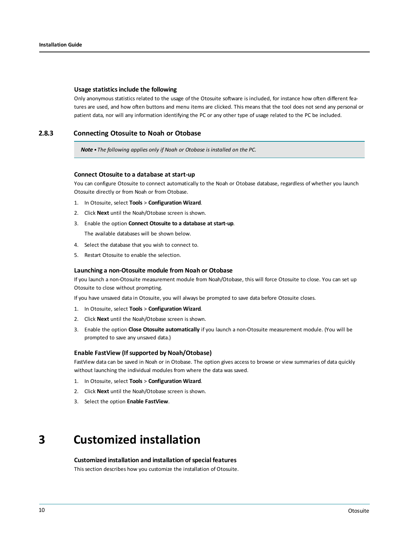#### **Usage statisticsinclude the following**

Only anonymous statistics related to the usage of the Otosuite software is included, for instance how often different features are used, and how often buttons and menu items are clicked. This means that the tool does not send any personal or patient data, nor will any information identifying the PC or any other type of usage related to the PC be included.

#### **2.8.3 Connecting Otosuite to Noah or Otobase**

*Note • The following applies only if Noah or Otobase is installed on the PC.*

#### **Connect Otosuite to a database at start-up**

You can configure Otosuite to connect automatically to the Noah or Otobase database, regardless of whether you launch Otosuite directly or from Noah or from Otobase.

- 1. In Otosuite, select **Tools** > **Configuration Wizard**.
- 2. Click **Next** until the Noah/Otobase screen is shown.
- 3. Enable the option **Connect Otosuite to a database at start-up**. The available databases will be shown below.
	-
- 4. Select the database that you wish to connect to.
- 5. Restart Otosuite to enable the selection.

#### **Launching a non-Otosuite module from Noah or Otobase**

If you launch a non-Otosuite measurement module from Noah/Otobase, this will force Otosuite to close. You can set up Otosuite to close without prompting.

If you have unsaved data in Otosuite, you will always be prompted to save data before Otosuite closes.

- 1. In Otosuite, select **Tools** > **Configuration Wizard**.
- 2. Click **Next** until the Noah/Otobase screen is shown.
- 3. Enable the option **Close Otosuite automatically** if you launch a non-Otosuite measurement module. (You will be prompted to save any unsaved data.)

#### **Enable FastView (Ifsupported by Noah/Otobase)**

FastView data can be saved in Noah or in Otobase. The option gives access to browse or view summaries of data quickly without launching the individual modules from where the data was saved.

- 1. In Otosuite, select **Tools** > **Configuration Wizard**.
- 2. Click **Next** until the Noah/Otobase screen is shown.
- <span id="page-9-0"></span>3. Select the option **Enable FastView**.

## **3 Customized installation**

#### **Customized installation and installation ofspecial features**

This section describes how you customize the installation of Otosuite.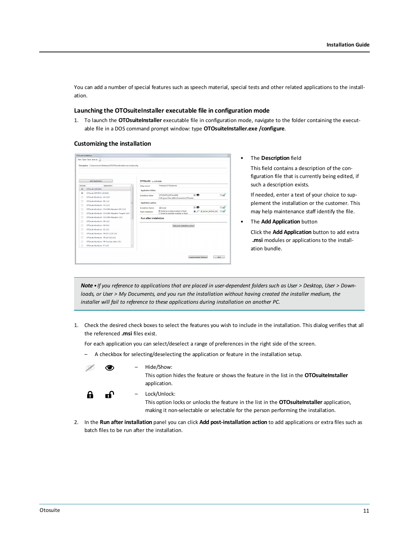You can add a number of special features such as speech material, special tests and other related applications to the installation.

#### **Launching the OTOsuiteInstaller executable file in configuration mode**

1. To launch the **OTOsuiteInstaller** executable file in configuration mode, navigate to the folder containing the executable file in a DOS command prompt window: type **OTOsuiteInstaller.exe /configure**.

#### **Customizing the installation**

| Add Application |                                                    | OTOsuite vv4.83.0040 |                               |                                                   |                          |                         |
|-----------------|----------------------------------------------------|----------------------|-------------------------------|---------------------------------------------------|--------------------------|-------------------------|
| Include         | Application                                        |                      | Setup source                  | Products\OTOSuite.msi                             |                          |                         |
| v               | OTOsuite 4.83.0040                                 |                      | <b>Application folders</b>    |                                                   |                          |                         |
| $\overline{v}$  | OTOsuite REPORTS 1.05.0161                         |                      | Installation folder           | <b>IOTOSULTE INSTALLDIRI</b>                      | $\sqrt{2}$               | ாரி                     |
| m               | OTOsuite WordLists - AU 3.2.0                      |                      |                               | C//Program Files (x86IV/Otometrics//OTOsuite/     |                          |                         |
| 同               | OTOsuite WordLists - RF 1.1.0                      |                      | Application options           |                                                   |                          |                         |
| ◫               | OTOsuite WordLists - CH 2.1.0                      |                      |                               |                                                   |                          |                         |
| m               | OTOsuite Wordlicts - CN-CMN-Mandarin-301 1.0.2     |                      | Installation Option           | V Install<br>@ Install as a single module in Noah | $\sqrt{2}$               | ⊫ளி<br>$E = \mathbf{r}$ |
| П               | OTOsuite WordLists - CN-CMN-Mandarin-Tongren 1.0.4 |                      | Noah installation             | C Install as separate modules in Noah             | [IS_NOAH_INSTALLED]<br>◼ |                         |
| m               | OTOsuite WordLists - CN-CMN-Mandarin 1.0.3         |                      | <b>Run after installation</b> |                                                   |                          |                         |
| п               | OTOsuite WordLists - DF 1.0.2                      |                      |                               |                                                   |                          |                         |
| 圓               | OTOsuite WordLists - DK 3.0.1                      |                      |                               | Add post-installation action                      |                          |                         |
| m               | OTOsuite WordLists - ES 1.0.1                      |                      |                               |                                                   |                          |                         |
| 同               | OTOsuite WordLists - FR (CD 1.2.3) 1.0.2           |                      |                               |                                                   |                          |                         |
| m               | OTOsuite WordLists - FR (CD 4,5) 1.0.2             |                      |                               |                                                   |                          |                         |
| 同               | OTOsuite WordLists - FR-Fournier-Lafon 1.0.1       |                      |                               |                                                   |                          |                         |
| П               | OTOsuite WordLists - IT 1.0.2                      |                      |                               |                                                   |                          |                         |

#### • The **Description** field

This field contains a description of the configuration file that is currently being edited, if such a description exists.

If needed, enter a text of your choice to supplement the installation or the customer. This may help maintenance staff identify the file.

• The **Add Application** button

Click the **Add Application** button to add extra **.msi** modules or applications to the installation bundle.

Note • If you reference to applications that are placed in user-dependent folders such as User > Desktop, User > Downloads, or User > My Documents, and you run the installation without having created the installer medium, the *installer will fail to reference to these applications during installation on another PC.*

1. Check the desired check boxes to select the features you wish to include in the installation. This dialog verifies that all the referenced **.msi** files exist.

For each application you can select/deselect a range of preferences in the right side of the screen.

– A checkbox for selecting/deselecting the application or feature in the installation setup.



– Hide/Show:

This option hides the feature or shows the feature in the list in the **OTOsuiteInstaller** application.

A ൷

– Lock/Unlock:

This option locks or unlocks the feature in the list in the **OTOsuiteInstaller** application, making it non-selectable or selectable for the person performing the installation.

2. In the **Run after installation** panel you can click **Add post-installation action** to add applications or extra files such as batch files to be run after the installation.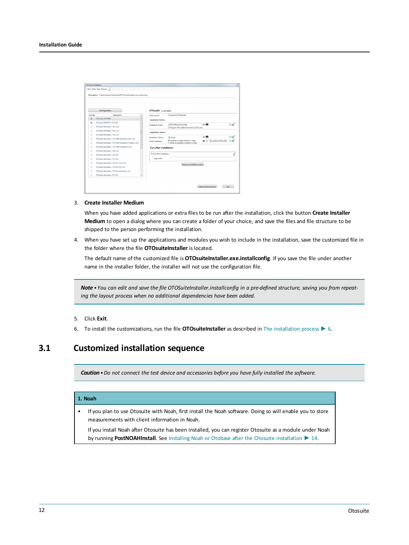|                          | Add Application                                    | OTOsuite vv4.83.0040          |                                                   |                                                                                    |     |
|--------------------------|----------------------------------------------------|-------------------------------|---------------------------------------------------|------------------------------------------------------------------------------------|-----|
| Include                  | Application                                        | Setup source                  | Products\OTOSuite.msi                             |                                                                                    |     |
| ß.                       | OTOsuite 4.83.0040                                 | <b>Application folders</b>    |                                                   |                                                                                    |     |
| $\overline{\mathcal{L}}$ | OTOsuite REPORTS 1.05.0161                         | Installation folder           | <b>IOTOSULTE INSTALLDIRI</b>                      | $\sqrt{2}$                                                                         | ாரி |
|                          | OTOsuite WordLists - AU 3.2.0                      |                               | C//Program Files (x86)\\Otometrics\OTOsuite\      |                                                                                    |     |
| п                        | OTOsuite WordLists - RF 1.1.0                      | Application options           |                                                   |                                                                                    |     |
| п                        | OTOsuite WordLists - CH 2.1.0                      |                               |                                                   | 7 ®                                                                                | ⊫ரி |
| П                        | OTOsuite WordLists - CN-CMN-Mandarin-301 1.0.2     | Installation Option           | V Install<br>@ Install as a single module in Noah | $\blacksquare$ $\mathcal D$ <b>ps_noah_installed</b> $\blacksquare$ $\blacksquare$ |     |
| п                        | OTOsuite WordLists - CN-CMN-Mandarin-Tongren 1.0.4 | Noah installation             | C Install as separate modules in Noah             |                                                                                    |     |
| П                        | OTOsuite WordLists - CN-CMN-Mandarin 1.0.3         | <b>Run after installation</b> |                                                   |                                                                                    |     |
|                          | OTOsuite WordLists - DF 1.0.2                      |                               |                                                   |                                                                                    |     |
| п                        | OTOsuite WordLists - DK 3.0.1                      | Run after installation        |                                                   |                                                                                    | é   |
| П                        | OTOsuite WordLists - FS 1.0.1                      | arouments                     |                                                   |                                                                                    |     |
| п                        | OTOsuite WordLists - FR (CD 1.2.3) 1.0.2           |                               | Add post-installation action                      |                                                                                    |     |
| П                        | OTOsuite WordLists - FR (CD 4,5) 1.0.2             |                               |                                                   |                                                                                    |     |
| п                        | OTOsuite WordLists - FR-Fournier-Lafon 1.0.1       |                               |                                                   |                                                                                    |     |
|                          | OTOsuite WordLists - IT 1.0.2                      |                               |                                                   |                                                                                    |     |

#### 3. **Create Installer Medium**

When you have added applications or extra files to be run after the installation, click the button **Create Installer Medium** to open a dialog where you can create a folder of your choice, and save the files and file structure to be shipped to the person performing the installation.

4. When you have set up the applications and modules you wish to include in the installation, save the customized file in the folder where the file **OTOsuiteInstaller** is located.

The default name of the customized file is **OTOsuiteInstaller.exe.installconfig**. If you save the file under another name in the installer folder, the installer will not use the configuration file.

Note . You can edit and save the file OTOSuiteInstaller.installconfig in a pre-defined structure, saving you from repeat*ing the layout process when no additional dependencies have been added.*

#### 5. Click **Exit**.

6. To install the customizations, run the file **OTOsuiteInstaller** as described in The [installation](#page-5-0) process ► 6.

## **3.1 Customized installation sequence**

*Caution•Do not connect the test device and accessories before you have fully installed the software.*

#### **1. Noah**

• If you plan to use Otosuite with Noah, first install the Noah software. Doing so will enable you to store measurements with client information in Noah.

If you install Noah after Otosuite has been installed, you can register Otosuite as a module under Noah by running **PostNOAHInstall**. See Installing Noah or Otobase after the Otosuite [installation](#page-13-1) ► 14.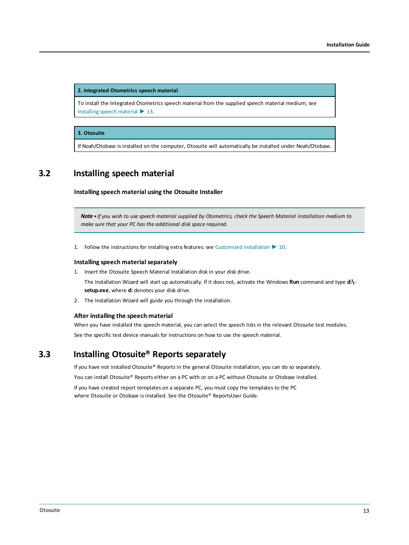**2. Integrated Otometrics speech material**

To install the Integrated Otometrics speech material from the supplied speech material medium, see [Installing](#page-12-0) speech material ► 13.

#### **3. Otosuite**

<span id="page-12-0"></span>If Noah/Otobase is installed on the computer, Otosuite will automatically be installed under Noah/Otobase.

## **3.2 Installing speech material**

**Installing speech material using the Otosuite Installer**

Note • If you wish to use speech material supplied by Otometrics, check the Speech Material installation medium to *make sure that your PC has the additional disk space required.*

1. Follow the instructions for installing extra features: see [Customized](#page-9-0) installation ► 10.

#### **Installing speech materialseparately**

1. Insert the Otosuite Speech Material Installation disk in your disk drive.

The Installation Wizard will start up automatically. If it does not, activate the Windows **Run** command and type **d:\ setup.exe**, where **d:** denotes your disk drive.

2. The Installation Wizard will guide you through the installation.

#### **After installing the speech material**

When you have installed the speech material, you can select the speech lists in the relevant Otosuite test modules. See the specific test device manuals for instructions on how to use the speech material.

## **3.3 Installing Otosuite® Reports separately**

If you have not installed Otosuite® Reports in the general Otosuite installation, you can do so separately.

You can install Otosuite® Reports either on a PC with or on a PC without Otosuite or Otobase installed.

If you have created report templates on a separate PC, you must copy the templates to the PC where Otosuite or Otobase is installed. See the Otosuite® ReportsUser Guide.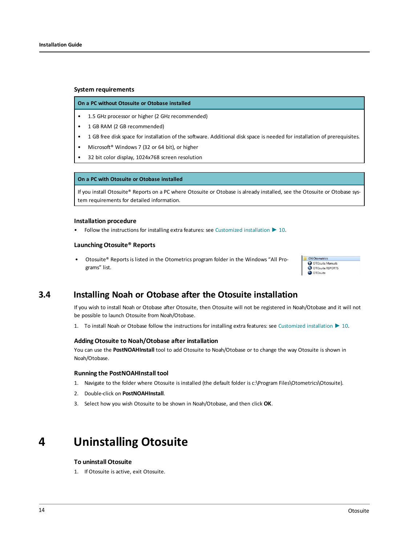#### **System requirements**

#### **On a PC without Otosuite or Otobase installed**

- 1.5 GHz processor or higher (2 GHz recommended)
- 1 GB RAM (2 GB recommended)
- 1 GB free disk space for installation of the software. Additional disk space is needed for installation of prerequisites.
- Microsoft® Windows 7 (32 or 64 bit), or higher
- 32 bit color display, 1024x768 screen resolution

#### **On a PC with Otosuite or Otobase installed**

If you install Otosuite® Reports on a PC where Otosuite or Otobase is already installed, see the Otosuite or Otobase system requirements for detailed information.

#### **Installation procedure**

• Follow the instructions for installing extra features: see [Customized](#page-9-0) installation ► 10.

#### **Launching Otosuite® Reports**

<span id="page-13-1"></span>• Otosuite® Reports is listed in the Otometrics program folder in the Windows "All Programs" list.

| <b>GN</b> Otometrics |  |
|----------------------|--|
| OTOsuite Manuals     |  |
| OTOsuite REPORTS     |  |
| O OTOsuite           |  |

### **3.4 Installing Noah or Otobase after the Otosuite installation**

If you wish to install Noah or Otobase after Otosuite, then Otosuite will not be registered in Noah/Otobase and it will not be possible to launch Otosuite from Noah/Otobase.

1. To install Noah or Otobase follow the instructions for installing extra features: see [Customized](#page-9-0) installation ► 10.

#### **Adding Otosuite to Noah/Otobase after installation**

You can use the **PostNOAHInstall** tool to add Otosuite to Noah/Otobase or to change the way Otosuite is shown in Noah/Otobase.

#### **Running the PostNOAHInstall tool**

- 1. Navigate to the folder where Otosuite is installed (the default folder is c:\Program Files\Otometrics\Otosuite).
- 2. Double-click on **PostNOAHInstall**.
- <span id="page-13-0"></span>3. Select how you wish Otosuite to be shown in Noah/Otobase, and then click **OK**.

## **4 Uninstalling Otosuite**

#### **To uninstall Otosuite**

1. If Otosuite is active, exit Otosuite.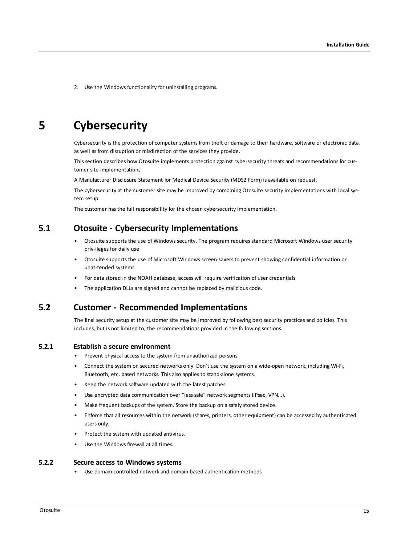<span id="page-14-0"></span>2. Use the Windows functionality for uninstalling programs.

## **5 Cybersecurity**

Cybersecurity is the protection of computer systems from theft or damage to their hardware, software or electronic data, as well as from disruption or misdirection of the services they provide.

This section describes how Otosuite implements protection against cybersecurity threats and recommendations for customer site implementations.

A Manufacturer Disclosure Statement for Medical Device Security (MDS2 Form) is available on request.

The cybersecurity at the customer site may be improved by combining Otosuite security implementations with local system setup.

The customer has the full responsibility for the chosen cybersecurity implementation.

### **5.1 Otosuite - Cybersecurity Implementations**

- Otosuite supports the use of Windows security. The program requires standard Microsoft Windows user security priv-ileges for daily use
- Otosuite supports the use of Microsoft Windows screen savers to prevent showing confidential information on unat-tended systems
- For data stored in the NOAH database, access will require verification of user credentials
- The application DLLs are signed and cannot be replaced by malicious code.

### **5.2 Customer - Recommended Implementations**

The final security setup at the customer site may be improved by following best security practices and policies. This includes, but is not limited to, the recommendations provided in the following sections.

#### **5.2.1 Establish a secure environment**

- Prevent physical access to the system from unauthorized persons.
- Connect the system on secured networks only. Don't use the system on a wide-open network, including Wi-Fi, Bluetooth, etc. based networks. This also applies to stand-alone systems.
- Keep the network software updated with the latest patches.
- Use encrypted data communication over "less safe" network segments (IPsec, VPN...).
- Make frequent backups of the system. Store the backup on a safely stored device.
- Enforce that all resources within the network (shares, printers, other equipment) can be accessed by authenticated users only.
- Protect the system with updated antivirus.
- Use the Windows firewall at all times.

#### **5.2.2 Secure access to Windows systems**

• Use domain-controlled network and domain-based authentication methods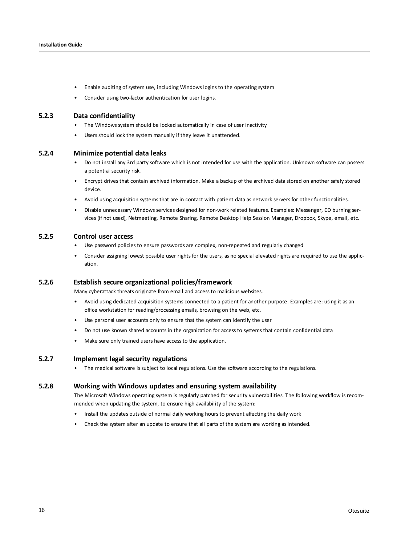- Enable auditing of system use, including Windows logins to the operating system
- Consider using two-factor authentication for user logins.

#### **5.2.3 Data confidentiality**

- The Windows system should be locked automatically in case of user inactivity
- Users should lock the system manually if they leave it unattended.

#### **5.2.4 Minimize potential data leaks**

- Do not install any 3rd party software which is not intended for use with the application. Unknown software can possess a potential security risk.
- Encrypt drives that contain archived information. Make a backup of the archived data stored on another safely stored device.
- Avoid using acquisition systems that are in contact with patient data as network servers for other functionalities.
- Disable unnecessary Windows services designed for non-work related features. Examples: Messenger, CD burning services (if not used), Netmeeting, Remote Sharing, Remote Desktop Help Session Manager, Dropbox, Skype, email, etc.

#### **5.2.5 Control user access**

- Use password policies to ensure passwords are complex, non-repeated and regularly changed
- Consider assigning lowest possible user rights for the users, as no special elevated rights are required to use the application.

#### **5.2.6 Establish secure organizational policies/framework**

Many cyberattack threats originate from email and access to malicious websites.

- Avoid using dedicated acquisition systems connected to a patient for another purpose. Examples are: using it as an office workstation for reading/processing emails, browsing on the web, etc.
- Use personal user accounts only to ensure that the system can identify the user
- Do not use known shared accounts in the organization for access to systems that contain confidential data
- Make sure only trained users have access to the application.

#### **5.2.7 Implement legal security regulations**

• The medical software is subject to local regulations. Use the software according to the regulations.

#### **5.2.8 Working with Windows updates and ensuring system availability**

The Microsoft Windows operating system is regularly patched for security vulnerabilities. The following workflow is recommended when updating the system, to ensure high availability of the system:

- Install the updates outside of normal daily working hours to prevent affecting the daily work
- Check the system after an update to ensure that all parts of the system are working as intended.